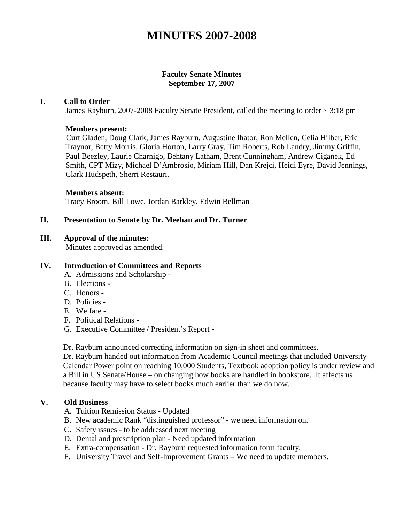# **MINUTES 2007-2008**

#### **Faculty Senate Minutes September 17, 2007**

#### **I. Call to Order**

James Rayburn, 2007-2008 Faculty Senate President, called the meeting to order ~ 3:18 pm

#### **Members present:**

Curt Gladen, Doug Clark, James Rayburn, Augustine Ihator, Ron Mellen, Celia Hilber, Eric Traynor, Betty Morris, Gloria Horton, Larry Gray, Tim Roberts, Rob Landry, Jimmy Griffin, Paul Beezley, Laurie Charnigo, Behtany Latham, Brent Cunningham, Andrew Ciganek, Ed Smith, CPT Mizy, Michael D'Ambrosio, Miriam Hill, Dan Krejci, Heidi Eyre, David Jennings, Clark Hudspeth, Sherri Restauri.

#### **Members absent:**

Tracy Broom, Bill Lowe, Jordan Barkley, Edwin Bellman

#### **II. Presentation to Senate by Dr. Meehan and Dr. Turner**

#### **III. Approval of the minutes:**

Minutes approved as amended.

#### **IV. Introduction of Committees and Reports**

- A. Admissions and Scholarship -
- B. Elections -
- C. Honors -
- D. Policies -
- E. Welfare -
- F. Political Relations -
- G. Executive Committee / President's Report -

Dr. Rayburn announced correcting information on sign-in sheet and committees.

Dr. Rayburn handed out information from Academic Council meetings that included University Calendar Power point on reaching 10,000 Students, Textbook adoption policy is under review and a Bill in US Senate/House – on changing how books are handled in bookstore. It affects us because faculty may have to select books much earlier than we do now.

#### **V. Old Business**

- A. Tuition Remission Status Updated
- B. New academic Rank "distinguished professor" we need information on.
- C. Safety issues to be addressed next meeting
- D. Dental and prescription plan Need updated information
- E. Extra-compensation Dr. Rayburn requested information form faculty.
- F. University Travel and Self-Improvement Grants We need to update members.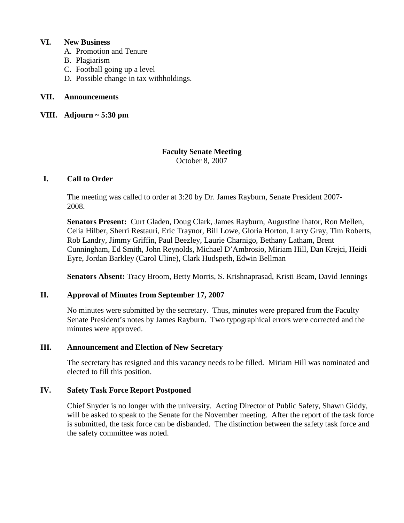## **VI. New Business**

- A. Promotion and Tenure
- B. Plagiarism
- C. Football going up a level
- D. Possible change in tax withholdings.

## **VII. Announcements**

## **VIII. Adjourn ~ 5:30 pm**

## **Faculty Senate Meeting**

October 8, 2007

## **I. Call to Order**

The meeting was called to order at 3:20 by Dr. James Rayburn, Senate President 2007- 2008.

**Senators Present:** Curt Gladen, Doug Clark, James Rayburn, Augustine Ihator, Ron Mellen, Celia Hilber, Sherri Restauri, Eric Traynor, Bill Lowe, Gloria Horton, Larry Gray, Tim Roberts, Rob Landry, Jimmy Griffin, Paul Beezley, Laurie Charnigo, Bethany Latham, Brent Cunningham, Ed Smith, John Reynolds, Michael D'Ambrosio, Miriam Hill, Dan Krejci, Heidi Eyre, Jordan Barkley (Carol Uline), Clark Hudspeth, Edwin Bellman

**Senators Absent:** Tracy Broom, Betty Morris, S. Krishnaprasad, Kristi Beam, David Jennings

## **II. Approval of Minutes from September 17, 2007**

No minutes were submitted by the secretary. Thus, minutes were prepared from the Faculty Senate President's notes by James Rayburn. Two typographical errors were corrected and the minutes were approved.

## **III. Announcement and Election of New Secretary**

The secretary has resigned and this vacancy needs to be filled. Miriam Hill was nominated and elected to fill this position.

## **IV. Safety Task Force Report Postponed**

Chief Snyder is no longer with the university. Acting Director of Public Safety, Shawn Giddy, will be asked to speak to the Senate for the November meeting. After the report of the task force is submitted, the task force can be disbanded. The distinction between the safety task force and the safety committee was noted.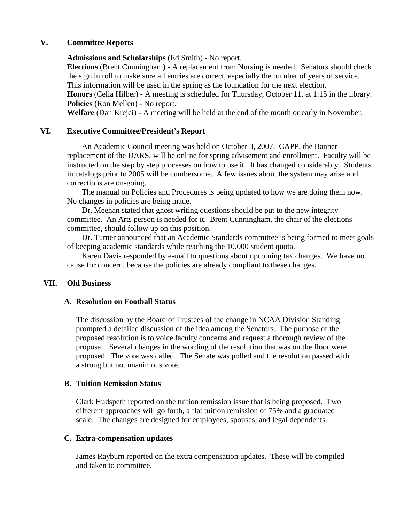## **V. Committee Reports**

**Admissions and Scholarships** (Ed Smith) - No report.

**Elections** (Brent Cunningham) - A replacement from Nursing is needed. Senators should check the sign in roll to make sure all entries are correct, especially the number of years of service. This information will be used in the spring as the foundation for the next election.

**Honors** (Celia Hilber) - A meeting is scheduled for Thursday, October 11, at 1:15 in the library. **Policies** (Ron Mellen) - No report.

**Welfare** (Dan Krejci) - A meeting will be held at the end of the month or early in November.

## **VI. Executive Committee/President's Report**

An Academic Council meeting was held on October 3, 2007. CAPP, the Banner replacement of the DARS, will be online for spring advisement and enrollment. Faculty will be instructed on the step by step processes on how to use it. It has changed considerably. Students in catalogs prior to 2005 will be cumbersome. A few issues about the system may arise and corrections are on-going.

The manual on Policies and Procedures is being updated to how we are doing them now. No changes in policies are being made.

Dr. Meehan stated that ghost writing questions should be put to the new integrity committee. An Arts person is needed for it. Brent Cunningham, the chair of the elections committee, should follow up on this position.

Dr. Turner announced that an Academic Standards committee is being formed to meet goals of keeping academic standards while reaching the 10,000 student quota.

Karen Davis responded by e-mail to questions about upcoming tax changes. We have no cause for concern, because the policies are already compliant to these changes.

#### **VII. Old Business**

#### **A. Resolution on Football Status**

The discussion by the Board of Trustees of the change in NCAA Division Standing prompted a detailed discussion of the idea among the Senators. The purpose of the proposed resolution is to voice faculty concerns and request a thorough review of the proposal. Several changes in the wording of the resolution that was on the floor were proposed. The vote was called. The Senate was polled and the resolution passed with a strong but not unanimous vote.

#### **B. Tuition Remission Status**

Clark Hudspeth reported on the tuition remission issue that is being proposed. Two different approaches will go forth, a flat tuition remission of 75% and a graduated scale. The changes are designed for employees, spouses, and legal dependents.

#### **C. Extra-compensation updates**

James Rayburn reported on the extra compensation updates. These will be compiled and taken to committee.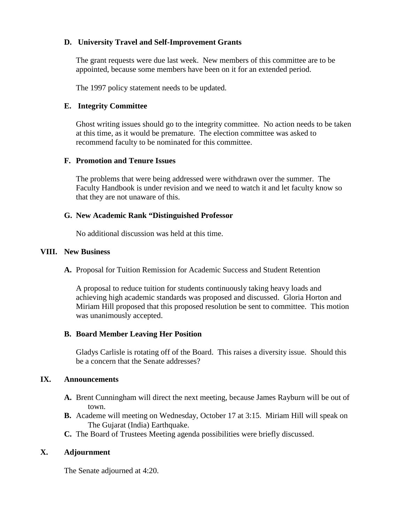## **D. University Travel and Self-Improvement Grants**

The grant requests were due last week. New members of this committee are to be appointed, because some members have been on it for an extended period.

The 1997 policy statement needs to be updated.

### **E. Integrity Committee**

Ghost writing issues should go to the integrity committee. No action needs to be taken at this time, as it would be premature. The election committee was asked to recommend faculty to be nominated for this committee.

#### **F. Promotion and Tenure Issues**

The problems that were being addressed were withdrawn over the summer. The Faculty Handbook is under revision and we need to watch it and let faculty know so that they are not unaware of this.

## **G. New Academic Rank "Distinguished Professor**

No additional discussion was held at this time.

## **VIII. New Business**

**A.** Proposal for Tuition Remission for Academic Success and Student Retention

A proposal to reduce tuition for students continuously taking heavy loads and achieving high academic standards was proposed and discussed. Gloria Horton and Miriam Hill proposed that this proposed resolution be sent to committee. This motion was unanimously accepted.

## **B. Board Member Leaving Her Position**

Gladys Carlisle is rotating off of the Board. This raises a diversity issue. Should this be a concern that the Senate addresses?

#### **IX. Announcements**

- **A.** Brent Cunningham will direct the next meeting, because James Rayburn will be out of town.
- **B.** Academe will meeting on Wednesday, October 17 at 3:15. Miriam Hill will speak on The Gujarat (India) Earthquake.
- **C.** The Board of Trustees Meeting agenda possibilities were briefly discussed.

## **X. Adjournment**

The Senate adjourned at 4:20.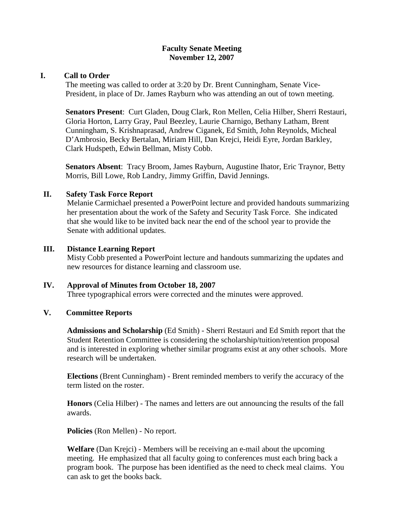#### **Faculty Senate Meeting November 12, 2007**

## **I. Call to Order**

The meeting was called to order at 3:20 by Dr. Brent Cunningham, Senate Vice-President, in place of Dr. James Rayburn who was attending an out of town meeting.

**Senators Present**: Curt Gladen, Doug Clark, Ron Mellen, Celia Hilber, Sherri Restauri, Gloria Horton, Larry Gray, Paul Beezley, Laurie Charnigo, Bethany Latham, Brent Cunningham, S. Krishnaprasad, Andrew Ciganek, Ed Smith, John Reynolds, Micheal D'Ambrosio, Becky Bertalan, Miriam Hill, Dan Krejci, Heidi Eyre, Jordan Barkley, Clark Hudspeth, Edwin Bellman, Misty Cobb.

**Senators Absent**: Tracy Broom, James Rayburn, Augustine Ihator, Eric Traynor, Betty Morris, Bill Lowe, Rob Landry, Jimmy Griffin, David Jennings.

## **II. Safety Task Force Report**

Melanie Carmichael presented a PowerPoint lecture and provided handouts summarizing her presentation about the work of the Safety and Security Task Force. She indicated that she would like to be invited back near the end of the school year to provide the Senate with additional updates.

## **III. Distance Learning Report**

Misty Cobb presented a PowerPoint lecture and handouts summarizing the updates and new resources for distance learning and classroom use.

## **IV. Approval of Minutes from October 18, 2007**

Three typographical errors were corrected and the minutes were approved.

## **V. Committee Reports**

**Admissions and Scholarship** (Ed Smith) - Sherri Restauri and Ed Smith report that the Student Retention Committee is considering the scholarship/tuition/retention proposal and is interested in exploring whether similar programs exist at any other schools. More research will be undertaken.

**Elections** (Brent Cunningham) - Brent reminded members to verify the accuracy of the term listed on the roster.

**Honors** (Celia Hilber) - The names and letters are out announcing the results of the fall awards.

**Policies** (Ron Mellen) - No report.

**Welfare** (Dan Krejci) - Members will be receiving an e-mail about the upcoming meeting. He emphasized that all faculty going to conferences must each bring back a program book. The purpose has been identified as the need to check meal claims. You can ask to get the books back.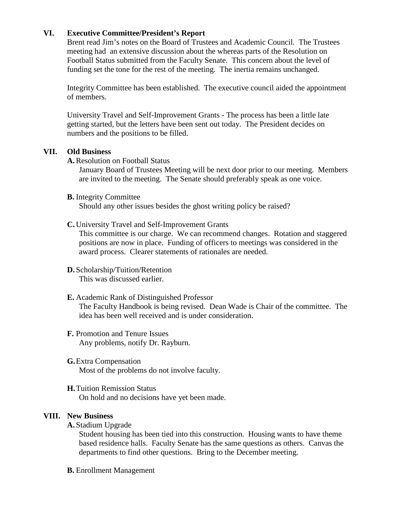## **VI. Executive Committee/President's Report**

Brent read Jim's notes on the Board of Trustees and Academic Council. The Trustees meeting had an extensive discussion about the whereas parts of the Resolution on Football Status submitted from the Faculty Senate. This concern about the level of funding set the tone for the rest of the meeting. The inertia remains unchanged.

Integrity Committee has been established. The executive council aided the appointment of members.

University Travel and Self-Improvement Grants - The process has been a little late getting started, but the letters have been sent out today. The President decides on numbers and the positions to be filled.

#### **VII. Old Business**

**A.**Resolution on Football Status

January Board of Trustees Meeting will be next door prior to our meeting. Members are invited to the meeting. The Senate should preferably speak as one voice.

#### **B.** Integrity Committee

Should any other issues besides the ghost writing policy be raised?

#### **C.** University Travel and Self-Improvement Grants

This committee is our charge. We can recommend changes. Rotation and staggered positions are now in place. Funding of officers to meetings was considered in the award process. Clearer statements of rationales are needed.

**D.** Scholarship/Tuition/Retention This was discussed earlier.

#### **E.** Academic Rank of Distinguished Professor

The Faculty Handbook is being revised. Dean Wade is Chair of the committee. The idea has been well received and is under consideration.

#### **F.** Promotion and Tenure Issues Any problems, notify Dr. Rayburn.

**G.**Extra Compensation Most of the problems do not involve faculty.

**H.**Tuition Remission Status On hold and no decisions have yet been made.

#### **VIII. New Business**

**A.** Stadium Upgrade

Student housing has been tied into this construction. Housing wants to have theme based residence halls. Faculty Senate has the same questions as others. Canvas the departments to find other questions. Bring to the December meeting.

**B.** Enrollment Management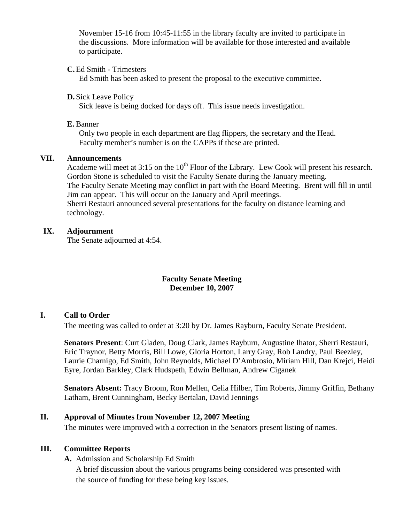November 15-16 from 10:45-11:55 in the library faculty are invited to participate in the discussions. More information will be available for those interested and available to participate.

### **C.**Ed Smith - Trimesters

Ed Smith has been asked to present the proposal to the executive committee.

#### **D.** Sick Leave Policy

Sick leave is being docked for days off. This issue needs investigation.

#### **E.** Banner

Only two people in each department are flag flippers, the secretary and the Head. Faculty member's number is on the CAPPs if these are printed.

#### **VII. Announcements**

Academe will meet at  $3:15$  on the  $10<sup>th</sup>$  Floor of the Library. Lew Cook will present his research. Gordon Stone is scheduled to visit the Faculty Senate during the January meeting. The Faculty Senate Meeting may conflict in part with the Board Meeting. Brent will fill in until Jim can appear. This will occur on the January and April meetings. Sherri Restauri announced several presentations for the faculty on distance learning and technology.

#### **IX. Adjournment**

The Senate adjourned at 4:54.

#### **Faculty Senate Meeting December 10, 2007**

#### **I. Call to Order**

The meeting was called to order at 3:20 by Dr. James Rayburn, Faculty Senate President.

**Senators Present**: Curt Gladen, Doug Clark, James Rayburn, Augustine Ihator, Sherri Restauri, Eric Traynor, Betty Morris, Bill Lowe, Gloria Horton, Larry Gray, Rob Landry, Paul Beezley, Laurie Charnigo, Ed Smith, John Reynolds, Michael D'Ambrosio, Miriam Hill, Dan Krejci, Heidi Eyre, Jordan Barkley, Clark Hudspeth, Edwin Bellman, Andrew Ciganek

**Senators Absent:** Tracy Broom, Ron Mellen, Celia Hilber, Tim Roberts, Jimmy Griffin, Bethany Latham, Brent Cunningham, Becky Bertalan, David Jennings

#### **II. Approval of Minutes from November 12, 2007 Meeting**

The minutes were improved with a correction in the Senators present listing of names.

#### **III. Committee Reports**

**A.** Admission and Scholarship Ed Smith

A brief discussion about the various programs being considered was presented with the source of funding for these being key issues.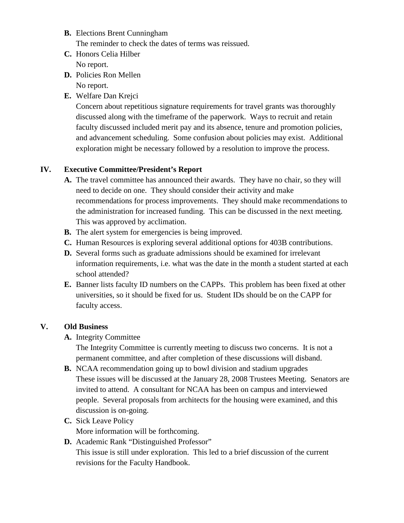- **B.** Elections Brent Cunningham The reminder to check the dates of terms was reissued.
- **C.** Honors Celia Hilber No report.
- **D.** Policies Ron Mellen

No report.

**E.** Welfare Dan Krejci

Concern about repetitious signature requirements for travel grants was thoroughly discussed along with the timeframe of the paperwork. Ways to recruit and retain faculty discussed included merit pay and its absence, tenure and promotion policies, and advancement scheduling. Some confusion about policies may exist. Additional exploration might be necessary followed by a resolution to improve the process.

## **IV. Executive Committee/President's Report**

- **A.** The travel committee has announced their awards. They have no chair, so they will need to decide on one. They should consider their activity and make recommendations for process improvements. They should make recommendations to the administration for increased funding. This can be discussed in the next meeting. This was approved by acclimation.
- **B.** The alert system for emergencies is being improved.
- **C.** Human Resources is exploring several additional options for 403B contributions.
- **D.** Several forms such as graduate admissions should be examined for irrelevant information requirements, i.e. what was the date in the month a student started at each school attended?
- **E.** Banner lists faculty ID numbers on the CAPPs. This problem has been fixed at other universities, so it should be fixed for us. Student IDs should be on the CAPP for faculty access.

## **V. Old Business**

**A.** Integrity Committee

The Integrity Committee is currently meeting to discuss two concerns. It is not a permanent committee, and after completion of these discussions will disband.

- **B.** NCAA recommendation going up to bowl division and stadium upgrades These issues will be discussed at the January 28, 2008 Trustees Meeting. Senators are invited to attend. A consultant for NCAA has been on campus and interviewed people. Several proposals from architects for the housing were examined, and this discussion is on-going.
- **C.** Sick Leave Policy More information will be forthcoming.
- **D.** Academic Rank "Distinguished Professor" This issue is still under exploration. This led to a brief discussion of the current revisions for the Faculty Handbook.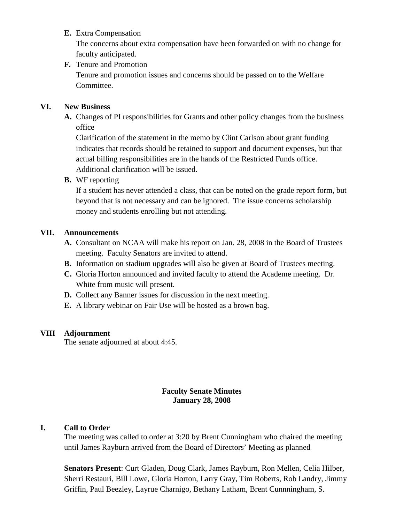## **E.** Extra Compensation

The concerns about extra compensation have been forwarded on with no change for faculty anticipated.

## **F.** Tenure and Promotion

Tenure and promotion issues and concerns should be passed on to the Welfare Committee.

## **VI. New Business**

**A.** Changes of PI responsibilities for Grants and other policy changes from the business office

Clarification of the statement in the memo by Clint Carlson about grant funding indicates that records should be retained to support and document expenses, but that actual billing responsibilities are in the hands of the Restricted Funds office. Additional clarification will be issued.

**B.** WF reporting

If a student has never attended a class, that can be noted on the grade report form, but beyond that is not necessary and can be ignored. The issue concerns scholarship money and students enrolling but not attending.

## **VII. Announcements**

- **A.** Consultant on NCAA will make his report on Jan. 28, 2008 in the Board of Trustees meeting. Faculty Senators are invited to attend.
- **B.** Information on stadium upgrades will also be given at Board of Trustees meeting.
- **C.** Gloria Horton announced and invited faculty to attend the Academe meeting. Dr. White from music will present.
- **D.** Collect any Banner issues for discussion in the next meeting.
- **E.** A library webinar on Fair Use will be hosted as a brown bag.

## **VIII Adjournment**

The senate adjourned at about 4:45.

#### **Faculty Senate Minutes January 28, 2008**

#### **I. Call to Order**

The meeting was called to order at 3:20 by Brent Cunningham who chaired the meeting until James Rayburn arrived from the Board of Directors' Meeting as planned

**Senators Present**: Curt Gladen, Doug Clark, James Rayburn, Ron Mellen, Celia Hilber, Sherri Restauri, Bill Lowe, Gloria Horton, Larry Gray, Tim Roberts, Rob Landry, Jimmy Griffin, Paul Beezley, Layrue Charnigo, Bethany Latham, Brent Cunnningham, S.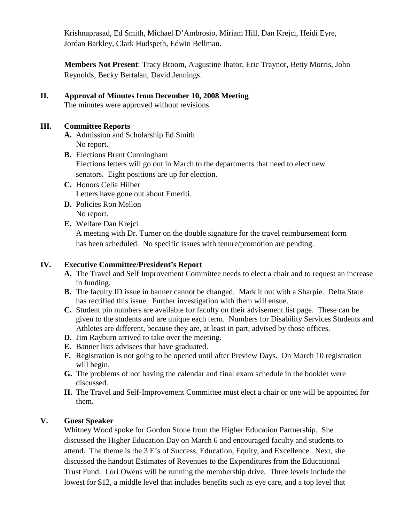Krishnaprasad, Ed Smith, Michael D'Ambrosio, Miriam Hill, Dan Krejci, Heidi Eyre, Jordan Barkley, Clark Hudspeth, Edwin Bellman.

**Members Not Present**: Tracy Broom, Augustine Ihator, Eric Traynor, Betty Morris, John Reynolds, Becky Bertalan, David Jennings.

**II. Approval of Minutes from December 10, 2008 Meeting** The minutes were approved without revisions.

### **III. Committee Reports**

- **A.** Admission and Scholarship Ed Smith No report.
- **B.** Elections Brent Cunningham Elections letters will go out in March to the departments that need to elect new senators. Eight positions are up for election.
- **C.** Honors Celia Hilber Letters have gone out about Emeriti.
- **D.** Policies Ron Mellon No report.
- **E.** Welfare Dan Krejci

A meeting with Dr. Turner on the double signature for the travel reimbursement form has been scheduled. No specific issues with tenure/promotion are pending.

## **IV. Executive Committee/President's Report**

- **A.** The Travel and Self Improvement Committee needs to elect a chair and to request an increase in funding.
- **B.** The faculty ID issue in banner cannot be changed. Mark it out with a Sharpie. Delta State has rectified this issue. Further investigation with them will ensue.
- **C.** Student pin numbers are available for faculty on their advisement list page. These can be given to the students and are unique each term. Numbers for Disability Services Students and Athletes are different, because they are, at least in part, advised by those offices.
- **D.** Jim Rayburn arrived to take over the meeting.
- **E.** Banner lists advisees that have graduated.
- **F.** Registration is not going to be opened until after Preview Days. On March 10 registration will begin.
- **G.** The problems of not having the calendar and final exam schedule in the booklet were discussed.
- **H.** The Travel and Self-Improvement Committee must elect a chair or one will be appointed for them.

## **V. Guest Speaker**

Whitney Wood spoke for Gordon Stone from the Higher Education Partnership. She discussed the Higher Education Day on March 6 and encouraged faculty and students to attend. The theme is the 3 E's of Success, Education, Equity, and Excellence. Next, she discussed the handout Estimates of Revenues to the Expenditures from the Educational Trust Fund. Lori Owens will be running the membership drive. Three levels include the lowest for \$12, a middle level that includes benefits such as eye care, and a top level that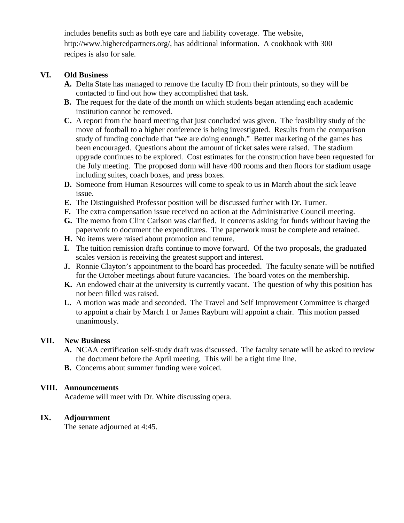includes benefits such as both eye care and liability coverage. The website, http://www.higheredpartners.org/, has additional information. A cookbook with 300 recipes is also for sale.

## **VI. Old Business**

- **A.** Delta State has managed to remove the faculty ID from their printouts, so they will be contacted to find out how they accomplished that task.
- **B.** The request for the date of the month on which students began attending each academic institution cannot be removed.
- **C.** A report from the board meeting that just concluded was given. The feasibility study of the move of football to a higher conference is being investigated. Results from the comparison study of funding conclude that "we are doing enough." Better marketing of the games has been encouraged. Questions about the amount of ticket sales were raised. The stadium upgrade continues to be explored. Cost estimates for the construction have been requested for the July meeting. The proposed dorm will have 400 rooms and then floors for stadium usage including suites, coach boxes, and press boxes.
- **D.** Someone from Human Resources will come to speak to us in March about the sick leave issue.
- **E.** The Distinguished Professor position will be discussed further with Dr. Turner.
- **F.** The extra compensation issue received no action at the Administrative Council meeting.
- **G.** The memo from Clint Carlson was clarified. It concerns asking for funds without having the paperwork to document the expenditures. The paperwork must be complete and retained.
- **H.** No items were raised about promotion and tenure.
- **I.** The tuition remission drafts continue to move forward. Of the two proposals, the graduated scales version is receiving the greatest support and interest.
- **J.** Ronnie Clayton's appointment to the board has proceeded. The faculty senate will be notified for the October meetings about future vacancies. The board votes on the membership.
- **K.** An endowed chair at the university is currently vacant. The question of why this position has not been filled was raised.
- **L.** A motion was made and seconded. The Travel and Self Improvement Committee is charged to appoint a chair by March 1 or James Rayburn will appoint a chair. This motion passed unanimously.

## **VII. New Business**

- **A.** NCAA certification self-study draft was discussed. The faculty senate will be asked to review the document before the April meeting. This will be a tight time line.
- **B.** Concerns about summer funding were voiced.

## **VIII. Announcements**

Academe will meet with Dr. White discussing opera.

## **IX. Adjournment**

The senate adjourned at 4:45.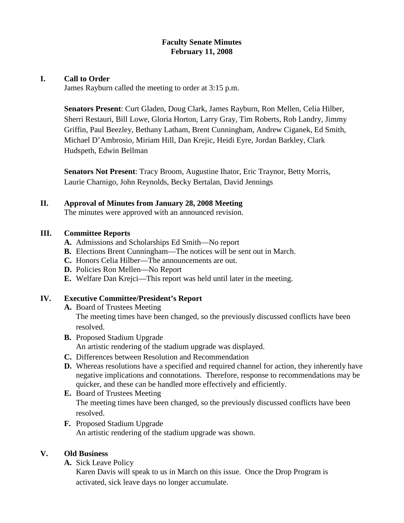## **Faculty Senate Minutes February 11, 2008**

## **I. Call to Order**

James Rayburn called the meeting to order at 3:15 p.m.

**Senators Present**: Curt Gladen, Doug Clark, James Rayburn, Ron Mellen, Celia Hilber, Sherri Restauri, Bill Lowe, Gloria Horton, Larry Gray, Tim Roberts, Rob Landry, Jimmy Griffin, Paul Beezley, Bethany Latham, Brent Cunningham, Andrew Ciganek, Ed Smith, Michael D'Ambrosio, Miriam Hill, Dan Krejic, Heidi Eyre, Jordan Barkley, Clark Hudspeth, Edwin Bellman

**Senators Not Present**: Tracy Broom, Augustine Ihator, Eric Traynor, Betty Morris, Laurie Charnigo, John Reynolds, Becky Bertalan, David Jennings

## **II. Approval of Minutes from January 28, 2008 Meeting**

The minutes were approved with an announced revision.

## **III. Committee Reports**

- **A.** Admissions and Scholarships Ed Smith—No report
- **B.** Elections Brent Cunningham—The notices will be sent out in March.
- **C.** Honors Celia Hilber—The announcements are out.
- **D.** Policies Ron Mellen—No Report
- **E.** Welfare Dan Krejci—This report was held until later in the meeting.

#### **IV. Executive Committee/President's Report**

- **A.** Board of Trustees Meeting The meeting times have been changed, so the previously discussed conflicts have been resolved.
- **B.** Proposed Stadium Upgrade An artistic rendering of the stadium upgrade was displayed.
- **C.** Differences between Resolution and Recommendation
- **D.** Whereas resolutions have a specified and required channel for action, they inherently have negative implications and connotations. Therefore, response to recommendations may be quicker, and these can be handled more effectively and efficiently.
- **E.** Board of Trustees Meeting The meeting times have been changed, so the previously discussed conflicts have been resolved.
- **F.** Proposed Stadium Upgrade An artistic rendering of the stadium upgrade was shown.

## **V. Old Business**

**A.** Sick Leave Policy

Karen Davis will speak to us in March on this issue. Once the Drop Program is activated, sick leave days no longer accumulate.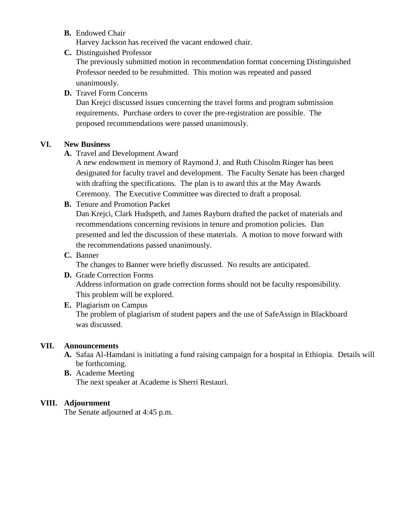**B.** Endowed Chair

Harvey Jackson has received the vacant endowed chair.

**C.** Distinguished Professor

The previously submitted motion in recommendation format concerning Distinguished Professor needed to be resubmitted. This motion was repeated and passed unanimously.

## **D.** Travel Form Concerns

Dan Krejci discussed issues concerning the travel forms and program submission requirements. Purchase orders to cover the pre-registration are possible. The proposed recommendations were passed unanimously.

## **VI. New Business**

**A.** Travel and Development Award

A new endowment in memory of Raymond J. and Ruth Chisolm Ringer has been designated for faculty travel and development. The Faculty Senate has been charged with drafting the specifications. The plan is to award this at the May Awards Ceremony. The Executive Committee was directed to draft a proposal.

**B.** Tenure and Promotion Packet

Dan Krejci, Clark Hudspeth, and James Rayburn drafted the packet of materials and recommendations concerning revisions in tenure and promotion policies. Dan presented and led the discussion of these materials. A motion to move forward with the recommendations passed unanimously.

## **C.** Banner

The changes to Banner were briefly discussed. No results are anticipated.

- **D.** Grade Correction Forms Address information on grade correction forms should not be faculty responsibility. This problem will be explored.
- **E.** Plagiarism on Campus The problem of plagiarism of student papers and the use of SafeAssign in Blackboard was discussed.

#### **VII. Announcements**

- **A.** Safaa Al-Hamdani is initiating a fund raising campaign for a hospital in Ethiopia. Details will be forthcoming.
- **B.** Academe Meeting The next speaker at Academe is Sherri Restauri.

## **VIII. Adjournment**

The Senate adjourned at 4:45 p.m.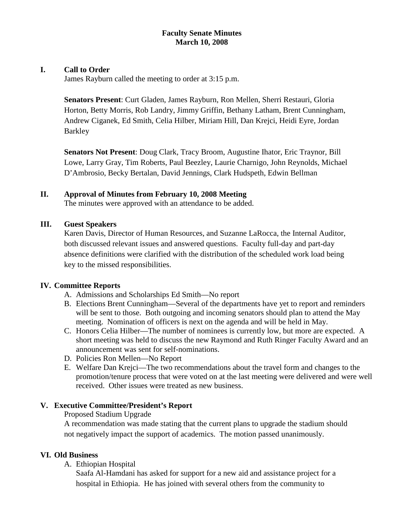## **Faculty Senate Minutes March 10, 2008**

## **I. Call to Order**

James Rayburn called the meeting to order at 3:15 p.m.

**Senators Present**: Curt Gladen, James Rayburn, Ron Mellen, Sherri Restauri, Gloria Horton, Betty Morris, Rob Landry, Jimmy Griffin, Bethany Latham, Brent Cunningham, Andrew Ciganek, Ed Smith, Celia Hilber, Miriam Hill, Dan Krejci, Heidi Eyre, Jordan Barkley

**Senators Not Present**: Doug Clark, Tracy Broom, Augustine Ihator, Eric Traynor, Bill Lowe, Larry Gray, Tim Roberts, Paul Beezley, Laurie Charnigo, John Reynolds, Michael D'Ambrosio, Becky Bertalan, David Jennings, Clark Hudspeth, Edwin Bellman

## **II. Approval of Minutes from February 10, 2008 Meeting**

The minutes were approved with an attendance to be added.

#### **III. Guest Speakers**

Karen Davis, Director of Human Resources, and Suzanne LaRocca, the Internal Auditor, both discussed relevant issues and answered questions. Faculty full-day and part-day absence definitions were clarified with the distribution of the scheduled work load being key to the missed responsibilities.

#### **IV. Committee Reports**

- A. Admissions and Scholarships Ed Smith—No report
- B. Elections Brent Cunningham—Several of the departments have yet to report and reminders will be sent to those. Both outgoing and incoming senators should plan to attend the May meeting. Nomination of officers is next on the agenda and will be held in May.
- C. Honors Celia Hilber—The number of nominees is currently low, but more are expected. A short meeting was held to discuss the new Raymond and Ruth Ringer Faculty Award and an announcement was sent for self-nominations.
- D. Policies Ron Mellen—No Report
- E. Welfare Dan Krejci—The two recommendations about the travel form and changes to the promotion/tenure process that were voted on at the last meeting were delivered and were well received. Other issues were treated as new business.

## **V. Executive Committee/President's Report**

#### Proposed Stadium Upgrade

A recommendation was made stating that the current plans to upgrade the stadium should not negatively impact the support of academics. The motion passed unanimously.

## **VI. Old Business**

A. Ethiopian Hospital

Saafa Al-Hamdani has asked for support for a new aid and assistance project for a hospital in Ethiopia. He has joined with several others from the community to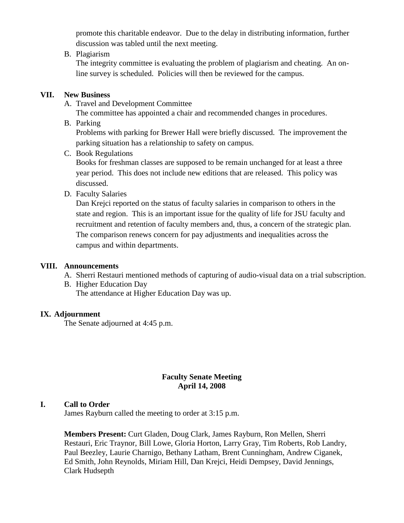promote this charitable endeavor. Due to the delay in distributing information, further discussion was tabled until the next meeting.

## B. Plagiarism

The integrity committee is evaluating the problem of plagiarism and cheating. An online survey is scheduled. Policies will then be reviewed for the campus.

## **VII. New Business**

A. Travel and Development Committee

The committee has appointed a chair and recommended changes in procedures.

B. Parking

Problems with parking for Brewer Hall were briefly discussed. The improvement the parking situation has a relationship to safety on campus.

C. Book Regulations

Books for freshman classes are supposed to be remain unchanged for at least a three year period. This does not include new editions that are released. This policy was discussed.

D. Faculty Salaries

Dan Krejci reported on the status of faculty salaries in comparison to others in the state and region. This is an important issue for the quality of life for JSU faculty and recruitment and retention of faculty members and, thus, a concern of the strategic plan. The comparison renews concern for pay adjustments and inequalities across the campus and within departments.

## **VIII. Announcements**

- A. Sherri Restauri mentioned methods of capturing of audio-visual data on a trial subscription.
- B. Higher Education Day The attendance at Higher Education Day was up.

## **IX. Adjournment**

The Senate adjourned at 4:45 p.m.

## **Faculty Senate Meeting April 14, 2008**

## **I. Call to Order**

James Rayburn called the meeting to order at 3:15 p.m.

**Members Present:** Curt Gladen, Doug Clark, James Rayburn, Ron Mellen, Sherri Restauri, Eric Traynor, Bill Lowe, Gloria Horton, Larry Gray, Tim Roberts, Rob Landry, Paul Beezley, Laurie Charnigo, Bethany Latham, Brent Cunningham, Andrew Ciganek, Ed Smith, John Reynolds, Miriam Hill, Dan Krejci, Heidi Dempsey, David Jennings, Clark Hudsepth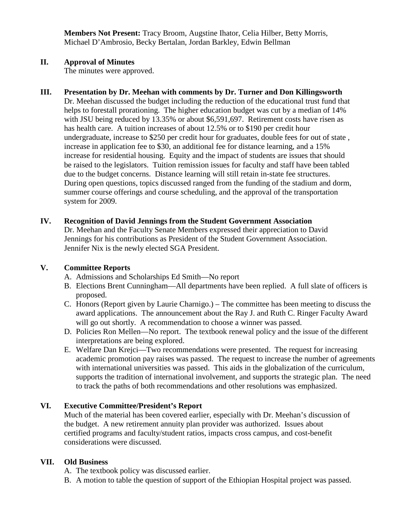**Members Not Present:** Tracy Broom, Augstine Ihator, Celia Hilber, Betty Morris, Michael D'Ambrosio, Becky Bertalan, Jordan Barkley, Edwin Bellman

## **II. Approval of Minutes**

The minutes were approved.

## **III. Presentation by Dr. Meehan with comments by Dr. Turner and Don Killingsworth**

Dr. Meehan discussed the budget including the reduction of the educational trust fund that helps to forestall prorationing. The higher education budget was cut by a median of 14% with JSU being reduced by 13.35% or about \$6,591,697. Retirement costs have risen as has health care. A tuition increases of about 12.5% or to \$190 per credit hour undergraduate, increase to \$250 per credit hour for graduates, double fees for out of state , increase in application fee to \$30, an additional fee for distance learning, and a 15% increase for residential housing. Equity and the impact of students are issues that should be raised to the legislators. Tuition remission issues for faculty and staff have been tabled due to the budget concerns. Distance learning will still retain in-state fee structures. During open questions, topics discussed ranged from the funding of the stadium and dorm, summer course offerings and course scheduling, and the approval of the transportation system for 2009.

#### **IV. Recognition of David Jennings from the Student Government Association**

Dr. Meehan and the Faculty Senate Members expressed their appreciation to David Jennings for his contributions as President of the Student Government Association. Jennifer Nix is the newly elected SGA President.

#### **V. Committee Reports**

- A. Admissions and Scholarships Ed Smith—No report
- B. Elections Brent Cunningham—All departments have been replied. A full slate of officers is proposed.
- C. Honors (Report given by Laurie Charnigo.) The committee has been meeting to discuss the award applications. The announcement about the Ray J. and Ruth C. Ringer Faculty Award will go out shortly. A recommendation to choose a winner was passed.
- D. Policies Ron Mellen—No report. The textbook renewal policy and the issue of the different interpretations are being explored.
- E. Welfare Dan Krejci—Two recommendations were presented. The request for increasing academic promotion pay raises was passed. The request to increase the number of agreements with international universities was passed. This aids in the globalization of the curriculum, supports the tradition of international involvement, and supports the strategic plan. The need to track the paths of both recommendations and other resolutions was emphasized.

## **VI. Executive Committee/President's Report**

Much of the material has been covered earlier, especially with Dr. Meehan's discussion of the budget. A new retirement annuity plan provider was authorized. Issues about certified programs and faculty/student ratios, impacts cross campus, and cost-benefit considerations were discussed.

## **VII. Old Business**

- A. The textbook policy was discussed earlier.
- B. A motion to table the question of support of the Ethiopian Hospital project was passed.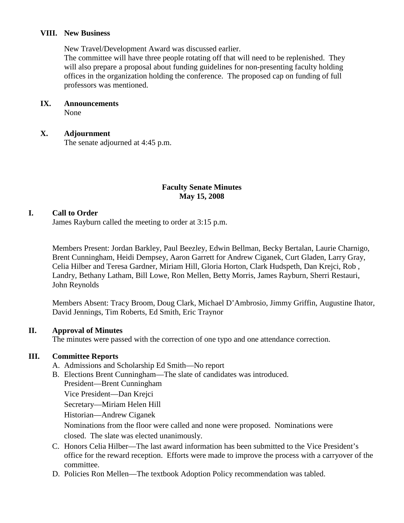## **VIII. New Business**

New Travel/Development Award was discussed earlier.

The committee will have three people rotating off that will need to be replenished. They will also prepare a proposal about funding guidelines for non-presenting faculty holding offices in the organization holding the conference. The proposed cap on funding of full professors was mentioned.

#### **IX. Announcements**

None

#### **X. Adjournment**

The senate adjourned at 4:45 p.m.

## **Faculty Senate Minutes May 15, 2008**

## **I. Call to Order**

James Rayburn called the meeting to order at 3:15 p.m.

Members Present: Jordan Barkley, Paul Beezley, Edwin Bellman, Becky Bertalan, Laurie Charnigo, Brent Cunningham, Heidi Dempsey, Aaron Garrett for Andrew Ciganek, Curt Gladen, Larry Gray, Celia Hilber and Teresa Gardner, Miriam Hill, Gloria Horton, Clark Hudspeth, Dan Krejci, Rob , Landry, Bethany Latham, Bill Lowe, Ron Mellen, Betty Morris, James Rayburn, Sherri Restauri, John Reynolds

Members Absent: Tracy Broom, Doug Clark, Michael D'Ambrosio, Jimmy Griffin, Augustine Ihator, David Jennings, Tim Roberts, Ed Smith, Eric Traynor

#### **II. Approval of Minutes**

The minutes were passed with the correction of one typo and one attendance correction.

## **III. Committee Reports**

- A. Admissions and Scholarship Ed Smith—No report
- B. Elections Brent Cunningham—The slate of candidates was introduced. President—Brent Cunningham

Vice President—Dan Krejci

Secretary—Miriam Helen Hill

Historian—Andrew Ciganek

Nominations from the floor were called and none were proposed. Nominations were closed. The slate was elected unanimously.

- C. Honors Celia Hilber—The last award information has been submitted to the Vice President's office for the reward reception. Efforts were made to improve the process with a carryover of the committee.
- D. Policies Ron Mellen—The textbook Adoption Policy recommendation was tabled.